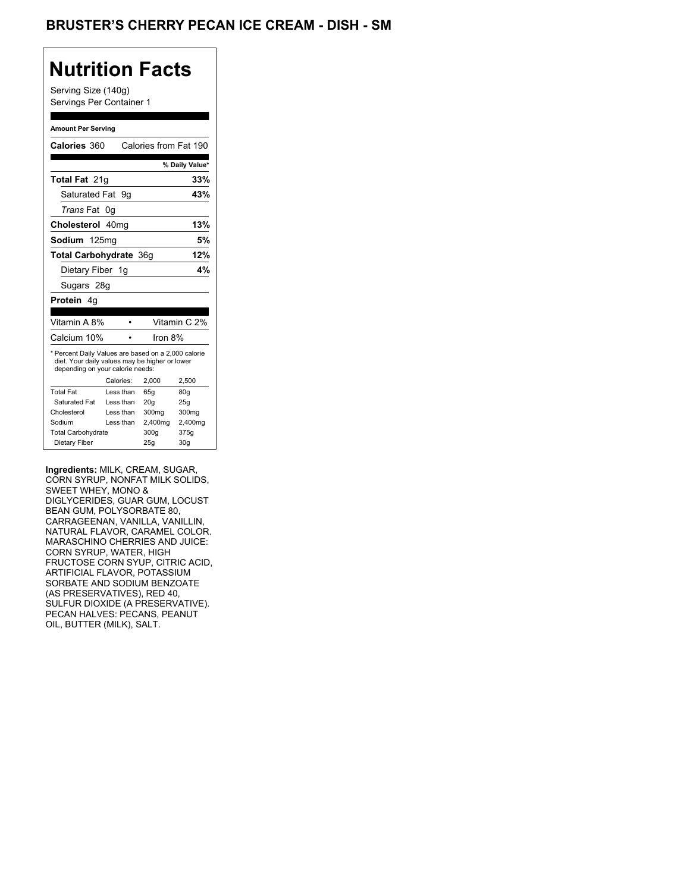## Brusters Cherry Creamsicle Ice Cream, Dish Regular Pecan Ice Cream, Dish Regular

## **Nutrition Facts**

### **Amount Per Serving**

| <b>Nutrition Facts</b>                                                                                |                                   |
|-------------------------------------------------------------------------------------------------------|-----------------------------------|
| Serving Size (140g)                                                                                   |                                   |
| Servings Per Container 1                                                                              |                                   |
| <b>Amount Per Serving</b>                                                                             |                                   |
| Calories 360                                                                                          | Calories from Fat 190             |
|                                                                                                       | % Daily Value*                    |
| Total Fat 21g                                                                                         | 33%                               |
| Saturated Fat 9g                                                                                      | 43%                               |
| Trans Fat 0g                                                                                          |                                   |
| Cholesterol 40mg                                                                                      | 13%                               |
| Sodium 125mg                                                                                          | 5%                                |
| Total Carbohydrate 36g                                                                                | 12%                               |
| Dietary Fiber 1g                                                                                      | 4%                                |
| Sugars 28g                                                                                            |                                   |
| Protein 4g                                                                                            |                                   |
| Vitamin A 8%<br>$\bullet$                                                                             | Vitamin C 2%                      |
| Calcium 10%<br>$\bullet$                                                                              | Iron 8%                           |
| * Percent Daily Values are based on a 2,000 calorie<br>diet. Your daily values may be higher or lower |                                   |
| depending on your calorie needs:                                                                      |                                   |
| Calories:<br>2,000<br><b>Total Fat</b><br>65g<br>Less than                                            | 2,500<br>80g                      |
| Saturated Fat<br>Less than<br>20 <sub>g</sub><br>Cholesterol<br>Less than                             | 25g<br>300mg<br>300 <sub>mg</sub> |
| Sodium<br>Less than                                                                                   | 2,400mg<br>2,400mg                |
| <b>Total Carbohydrate</b><br>300g<br>Dietary Fiber<br>25g                                             | 375g<br>30 <sub>g</sub>           |
|                                                                                                       |                                   |
| Ingredients: MILK, CREAM, SUGAR,<br>CORN SYRUP, NONFAT MILK SOLIDS,                                   |                                   |
| SWEET WHEY, MONO &                                                                                    |                                   |
| DIGLYCERIDES, GUAR GUM, LOCUST<br>BEAN GUM, POLYSORBATE 80,                                           |                                   |
| CARRAGEENAN, VANILLA, VANILLIN,                                                                       |                                   |
| NATURAL FLAVOR, CARAMEL COLOR.<br>MARASCHINO CHERRIES AND JUICE:                                      |                                   |
| CORN SYRUP, WATER, HIGH                                                                               |                                   |
| FRUCTOSE CORN SYUP, CITRIC ACID,<br>ARTIFICIAL FLAVOR, POTASSIUM                                      |                                   |
| SORBATE AND SODIUM BENZOATE                                                                           |                                   |
| (AS PRESERVATIVES), RED 40,<br>SULFUR DIOXIDE (A PRESERVATIVE).                                       |                                   |
| PECAN HALVES: PECANS, PEANUT<br>OIL, BUTTER (MILK), SALT.                                             |                                   |
|                                                                                                       |                                   |
|                                                                                                       |                                   |
|                                                                                                       |                                   |
|                                                                                                       |                                   |
|                                                                                                       |                                   |
|                                                                                                       |                                   |
|                                                                                                       |                                   |
|                                                                                                       |                                   |
|                                                                                                       |                                   |
|                                                                                                       |                                   |
|                                                                                                       |                                   |
|                                                                                                       |                                   |
|                                                                                                       |                                   |
|                                                                                                       |                                   |
|                                                                                                       |                                   |
|                                                                                                       |                                   |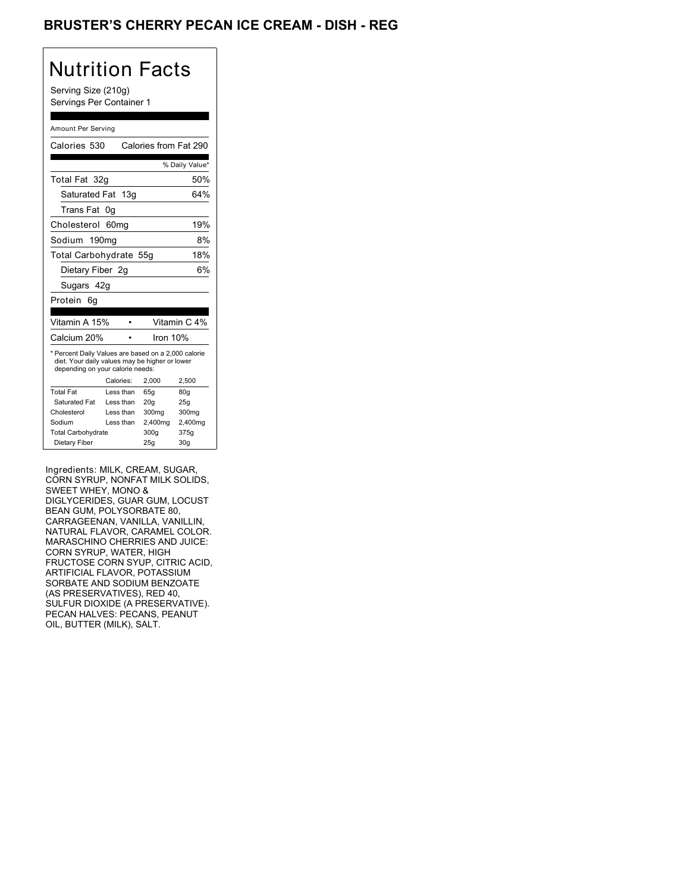## Brusters Cherry Creamsicle Ice Cream, Dish Regular +1 Pecan Ice Cream, Dish Regular +1

# Nutrition Facts

### Amount Per Serving

| <b>Nutrition Facts</b>                                                                                                                                                                                                                                                                                                                                                                                                                                                                                                        |                        |                       |                         |
|-------------------------------------------------------------------------------------------------------------------------------------------------------------------------------------------------------------------------------------------------------------------------------------------------------------------------------------------------------------------------------------------------------------------------------------------------------------------------------------------------------------------------------|------------------------|-----------------------|-------------------------|
| Serving Size (210g)                                                                                                                                                                                                                                                                                                                                                                                                                                                                                                           |                        |                       |                         |
| Servings Per Container 1                                                                                                                                                                                                                                                                                                                                                                                                                                                                                                      |                        |                       |                         |
| Amount Per Serving                                                                                                                                                                                                                                                                                                                                                                                                                                                                                                            |                        |                       |                         |
| Calories 530                                                                                                                                                                                                                                                                                                                                                                                                                                                                                                                  |                        | Calories from Fat 290 |                         |
|                                                                                                                                                                                                                                                                                                                                                                                                                                                                                                                               |                        |                       | % Daily Value*          |
| Total Fat 32g                                                                                                                                                                                                                                                                                                                                                                                                                                                                                                                 |                        |                       | 50%                     |
| Saturated Fat 13g                                                                                                                                                                                                                                                                                                                                                                                                                                                                                                             |                        |                       | 64%                     |
| Trans Fat 0g                                                                                                                                                                                                                                                                                                                                                                                                                                                                                                                  |                        |                       |                         |
| Cholesterol 60mg                                                                                                                                                                                                                                                                                                                                                                                                                                                                                                              |                        |                       | 19%                     |
| Sodium 190mg                                                                                                                                                                                                                                                                                                                                                                                                                                                                                                                  |                        |                       | 8%                      |
| Total Carbohydrate 55g                                                                                                                                                                                                                                                                                                                                                                                                                                                                                                        |                        |                       | 18%                     |
| Dietary Fiber 2g                                                                                                                                                                                                                                                                                                                                                                                                                                                                                                              |                        |                       | 6%                      |
| Sugars 42g                                                                                                                                                                                                                                                                                                                                                                                                                                                                                                                    |                        |                       |                         |
| Protein 6g                                                                                                                                                                                                                                                                                                                                                                                                                                                                                                                    |                        |                       |                         |
| Vitamin A 15%                                                                                                                                                                                                                                                                                                                                                                                                                                                                                                                 | $\bullet$              |                       | Vitamin C 4%            |
| Calcium 20%                                                                                                                                                                                                                                                                                                                                                                                                                                                                                                                   | $\bullet$              | Iron 10%              |                         |
| * Percent Daily Values are based on a 2,000 calorie<br>diet. Your daily values may be higher or lower                                                                                                                                                                                                                                                                                                                                                                                                                         |                        |                       |                         |
| depending on your calorie needs:                                                                                                                                                                                                                                                                                                                                                                                                                                                                                              | Calories:              | 2,000                 | 2,500                   |
| <b>Total Fat</b>                                                                                                                                                                                                                                                                                                                                                                                                                                                                                                              | Less than              | 65g                   | 80g                     |
| Saturated Fat<br>Cholesterol                                                                                                                                                                                                                                                                                                                                                                                                                                                                                                  | Less than<br>Less than | 20g<br>300mg          | 25g<br>300mg            |
| Sodium                                                                                                                                                                                                                                                                                                                                                                                                                                                                                                                        | Less than              | 2,400mg<br>300g       | 2,400mg                 |
| <b>Total Carbohydrate</b><br>Dietary Fiber                                                                                                                                                                                                                                                                                                                                                                                                                                                                                    |                        | 25g                   | 375g<br>30 <sub>g</sub> |
| Ingredients: MILK, CREAM, SUGAR,<br>CORN SYRUP, NONFAT MILK SOLIDS,<br>SWEET WHEY, MONO &<br>DIGLYCERIDES, GUAR GUM, LOCUST<br>BEAN GUM, POLYSORBATE 80,<br>CARRAGEENAN, VANILLA, VANILLIN,<br>NATURAL FLAVOR, CARAMEL COLOR.<br>MARASCHINO CHERRIES AND JUICE:<br>CORN SYRUP, WATER, HIGH<br>FRUCTOSE CORN SYUP, CITRIC ACID,<br>ARTIFICIAL FLAVOR, POTASSIUM<br>SORBATE AND SODIUM BENZOATE<br>(AS PRESERVATIVES), RED 40,<br>SULFUR DIOXIDE (A PRESERVATIVE).<br>PECAN HALVES: PECANS, PEANUT<br>OIL, BUTTER (MILK), SALT. |                        |                       |                         |
|                                                                                                                                                                                                                                                                                                                                                                                                                                                                                                                               |                        |                       |                         |
|                                                                                                                                                                                                                                                                                                                                                                                                                                                                                                                               |                        |                       |                         |
|                                                                                                                                                                                                                                                                                                                                                                                                                                                                                                                               |                        |                       |                         |
|                                                                                                                                                                                                                                                                                                                                                                                                                                                                                                                               |                        |                       |                         |
|                                                                                                                                                                                                                                                                                                                                                                                                                                                                                                                               |                        |                       |                         |
|                                                                                                                                                                                                                                                                                                                                                                                                                                                                                                                               |                        |                       |                         |
|                                                                                                                                                                                                                                                                                                                                                                                                                                                                                                                               |                        |                       |                         |
|                                                                                                                                                                                                                                                                                                                                                                                                                                                                                                                               |                        |                       |                         |
|                                                                                                                                                                                                                                                                                                                                                                                                                                                                                                                               |                        |                       |                         |
|                                                                                                                                                                                                                                                                                                                                                                                                                                                                                                                               |                        |                       |                         |
|                                                                                                                                                                                                                                                                                                                                                                                                                                                                                                                               |                        |                       |                         |
|                                                                                                                                                                                                                                                                                                                                                                                                                                                                                                                               |                        |                       |                         |
|                                                                                                                                                                                                                                                                                                                                                                                                                                                                                                                               |                        |                       |                         |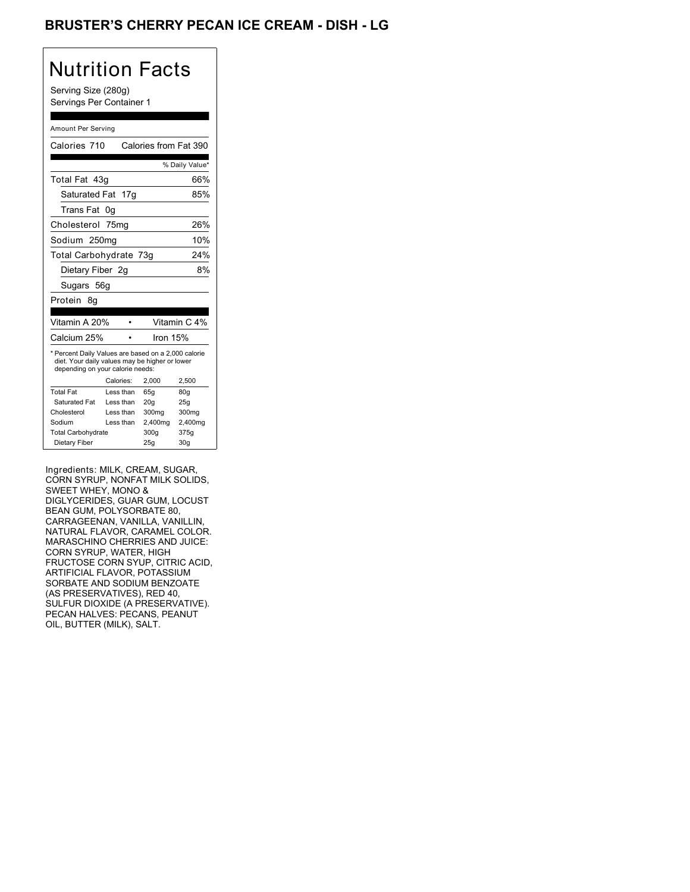## Brusters Cherry Creamsicle Ice Cream, Dish Regular +2 Pecan Ice Cream, Dish Regular +2

# Nutrition Facts

### Amount Per Serving

| <b>Nutrition Facts</b>                                                                                                                                                                                                                                                                                                                                                                                                                                                                                                        |                        |                       |                         |
|-------------------------------------------------------------------------------------------------------------------------------------------------------------------------------------------------------------------------------------------------------------------------------------------------------------------------------------------------------------------------------------------------------------------------------------------------------------------------------------------------------------------------------|------------------------|-----------------------|-------------------------|
| Serving Size (280g)                                                                                                                                                                                                                                                                                                                                                                                                                                                                                                           |                        |                       |                         |
| Servings Per Container 1                                                                                                                                                                                                                                                                                                                                                                                                                                                                                                      |                        |                       |                         |
| Amount Per Serving                                                                                                                                                                                                                                                                                                                                                                                                                                                                                                            |                        |                       |                         |
| Calories 710                                                                                                                                                                                                                                                                                                                                                                                                                                                                                                                  |                        | Calories from Fat 390 |                         |
|                                                                                                                                                                                                                                                                                                                                                                                                                                                                                                                               |                        |                       |                         |
| Total Fat 43g                                                                                                                                                                                                                                                                                                                                                                                                                                                                                                                 |                        |                       | % Daily Value*<br>66%   |
| Saturated Fat 17g                                                                                                                                                                                                                                                                                                                                                                                                                                                                                                             |                        |                       | 85%                     |
| Trans Fat 0g                                                                                                                                                                                                                                                                                                                                                                                                                                                                                                                  |                        |                       |                         |
| Cholesterol 75mg                                                                                                                                                                                                                                                                                                                                                                                                                                                                                                              |                        |                       | 26%                     |
| Sodium 250mg                                                                                                                                                                                                                                                                                                                                                                                                                                                                                                                  |                        |                       | 10%                     |
| Total Carbohydrate 73g                                                                                                                                                                                                                                                                                                                                                                                                                                                                                                        |                        |                       | 24%                     |
| Dietary Fiber 2g                                                                                                                                                                                                                                                                                                                                                                                                                                                                                                              |                        |                       | 8%                      |
| Sugars 56g                                                                                                                                                                                                                                                                                                                                                                                                                                                                                                                    |                        |                       |                         |
| Protein 8g                                                                                                                                                                                                                                                                                                                                                                                                                                                                                                                    |                        |                       |                         |
| Vitamin A 20%                                                                                                                                                                                                                                                                                                                                                                                                                                                                                                                 | $\bullet$              |                       | Vitamin C 4%            |
| Calcium 25%                                                                                                                                                                                                                                                                                                                                                                                                                                                                                                                   | $\bullet$              | Iron 15%              |                         |
| * Percent Daily Values are based on a 2,000 calorie<br>diet. Your daily values may be higher or lower                                                                                                                                                                                                                                                                                                                                                                                                                         |                        |                       |                         |
| depending on your calorie needs:                                                                                                                                                                                                                                                                                                                                                                                                                                                                                              | Calories:              | 2,000                 | 2,500                   |
| <b>Total Fat</b>                                                                                                                                                                                                                                                                                                                                                                                                                                                                                                              | Less than              | 65g                   | 80g                     |
| Saturated Fat<br>Cholesterol                                                                                                                                                                                                                                                                                                                                                                                                                                                                                                  | Less than<br>Less than | 20g<br>300mg          | 25g<br>300mg            |
| Sodium                                                                                                                                                                                                                                                                                                                                                                                                                                                                                                                        | Less than              | 2,400mg               | 2,400mg                 |
| <b>Total Carbohydrate</b><br>Dietary Fiber                                                                                                                                                                                                                                                                                                                                                                                                                                                                                    |                        | 300g<br>25g           | 375g<br>30 <sub>g</sub> |
| Ingredients: MILK, CREAM, SUGAR,<br>CORN SYRUP, NONFAT MILK SOLIDS,<br>SWEET WHEY, MONO &<br>DIGLYCERIDES, GUAR GUM, LOCUST<br>BEAN GUM, POLYSORBATE 80,<br>CARRAGEENAN, VANILLA, VANILLIN,<br>NATURAL FLAVOR, CARAMEL COLOR.<br>MARASCHINO CHERRIES AND JUICE:<br>CORN SYRUP, WATER, HIGH<br>FRUCTOSE CORN SYUP, CITRIC ACID,<br>ARTIFICIAL FLAVOR, POTASSIUM<br>SORBATE AND SODIUM BENZOATE<br>(AS PRESERVATIVES), RED 40,<br>SULFUR DIOXIDE (A PRESERVATIVE).<br>PECAN HALVES: PECANS, PEANUT<br>OIL, BUTTER (MILK), SALT. |                        |                       |                         |
|                                                                                                                                                                                                                                                                                                                                                                                                                                                                                                                               |                        |                       |                         |
|                                                                                                                                                                                                                                                                                                                                                                                                                                                                                                                               |                        |                       |                         |
|                                                                                                                                                                                                                                                                                                                                                                                                                                                                                                                               |                        |                       |                         |
|                                                                                                                                                                                                                                                                                                                                                                                                                                                                                                                               |                        |                       |                         |
|                                                                                                                                                                                                                                                                                                                                                                                                                                                                                                                               |                        |                       |                         |
|                                                                                                                                                                                                                                                                                                                                                                                                                                                                                                                               |                        |                       |                         |
|                                                                                                                                                                                                                                                                                                                                                                                                                                                                                                                               |                        |                       |                         |
|                                                                                                                                                                                                                                                                                                                                                                                                                                                                                                                               |                        |                       |                         |
|                                                                                                                                                                                                                                                                                                                                                                                                                                                                                                                               |                        |                       |                         |
|                                                                                                                                                                                                                                                                                                                                                                                                                                                                                                                               |                        |                       |                         |
|                                                                                                                                                                                                                                                                                                                                                                                                                                                                                                                               |                        |                       |                         |
|                                                                                                                                                                                                                                                                                                                                                                                                                                                                                                                               |                        |                       |                         |
|                                                                                                                                                                                                                                                                                                                                                                                                                                                                                                                               |                        |                       |                         |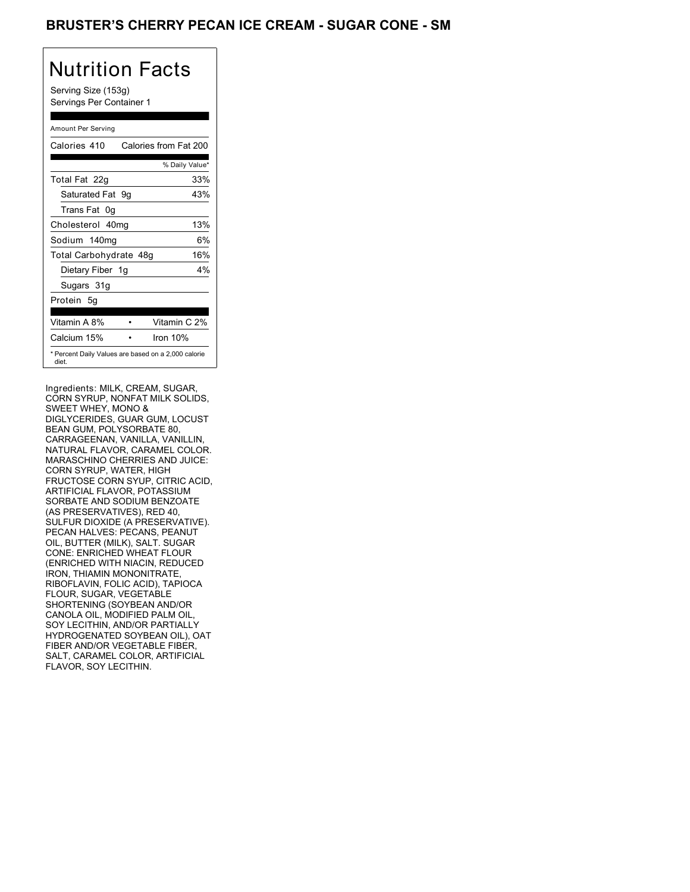## BRUSTER'S CHERRY PECAN ICE CREAM - SUGAR CONE - SM

# Nutrition Facts

Serving Size (153g) Servings Per Container 1

### Amount Per Serving

| Calories 410           | Calories from Fat 200                               |
|------------------------|-----------------------------------------------------|
|                        | % Daily Value*                                      |
| Total Fat 22g          | 33%                                                 |
| Saturated Fat 9g       | 43%                                                 |
| Trans Fat 0q           |                                                     |
| Cholesterol 40mg       | 13%                                                 |
| Sodium 140mg           | 6%                                                  |
| Total Carbohydrate 48g | 16%                                                 |
| Dietary Fiber 1g       | 4%                                                  |
| Sugars 31g             |                                                     |
| Protein 5q             |                                                     |
| Vitamin A 8%           | Vitamin C 2%                                        |
| Calcium 15%            | Iron 10%                                            |
| diet.                  | * Percent Daily Values are based on a 2,000 calorie |

Ingredients: MILK, CREAM, SUGAR, CORN SYRUP, NONFAT MILK SOLIDS, CORN SYRUP, NONFAT MILK SOLIDS,<br>SWEET WHEY, MONO & DIGLYCERIDES, GUAR GUM, LOCUST DIGLYCERIDES, GUAR GUM, LOCUST<br>BEAN GUM, POLYSORBATE 80, 80, CARRAGEENAN, VANILLA, CARRAGEENAN, VANILLA, VANILLIN, NATURAL FLAVOR, CARAMEL COLOR. MARASCHINO CHERRIES AND JUICE: MARASCHINO CHERRIES AND JUICE:<br>CORN SYRUP, WATER, HIGH FRUCTOSE CORN SYUP, CITRIC ACID, ARTIFICIAL FLAVOR, POTASSIUM SORBATE AND SODIUM BENZOATE (AS PRESERVATIVES), RED 40, SULFUR DIOXIDE (A PRESERVATIVE). PECAN HALVES: PECANS, PEANUT OIL, BUTTER (MILK), SALT. SUGAR CONE: ENRICHED WHEAT FLOUR (ENRICHED WITH NIACIN, REDUCED IRON, THIAMIN MONONITRATE, RIBOFLAVIN, FOLIC ACID), TAPIOCA FLOUR, SUGAR, VEGETABLE SHORTENING (SOYBEAN AND/OR CANOLA OIL, MODIFIED PALM OIL, SOY LECITHIN, AND/OR PARTIALLY HYDROGENATED SOYBEAN OIL), OAT FIBER AND/OR VEGETABLE FIBER, SALT, CARAMEL COLOR, ARTIFICIAL FLAVOR, SOY LECITHIN.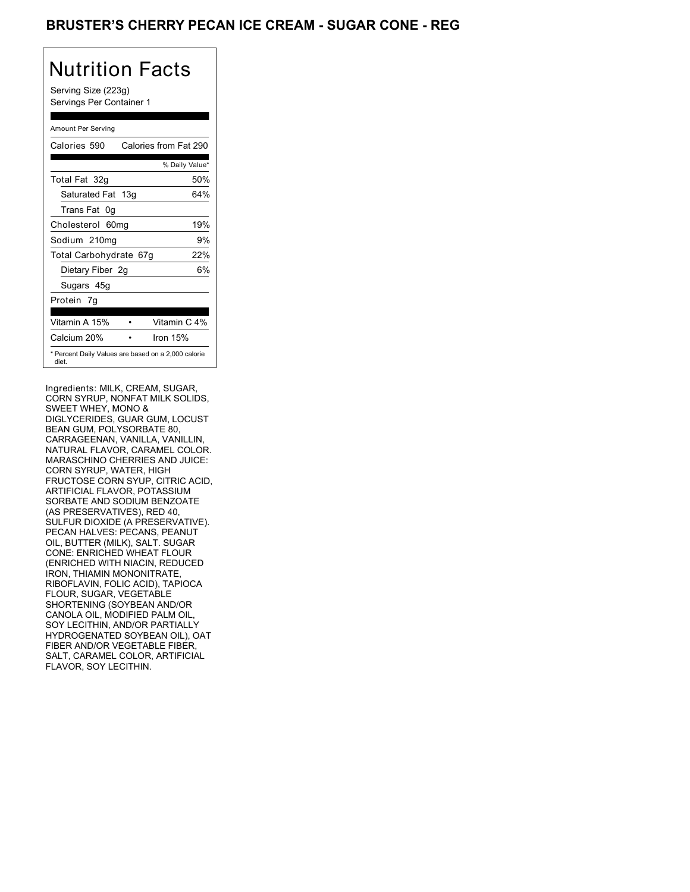## BRUSTER'S CHERRY PECAN ICE CREAM - SUGAR CONE - REG

# Nutrition Facts

Serving Size (223g) Servings Per Container 1

### Amount Per Serving

| Calories 590                                                 | Calories from Fat 290 |
|--------------------------------------------------------------|-----------------------|
|                                                              | % Daily Value*        |
| Total Fat 32g                                                | 50%                   |
| Saturated Fat 13g                                            | 64%                   |
| Trans Fat<br>0g                                              |                       |
| Cholesterol 60mg                                             | 19%                   |
| Sodium 210mg                                                 | 9%                    |
| Total Carbohydrate 67g                                       | 22%                   |
| Dietary Fiber 2g                                             | 6%                    |
| Sugars 45g                                                   |                       |
| Protein 7g                                                   |                       |
| Vitamin A 15%                                                | Vitamin C 4%          |
| Calcium 20%                                                  | Iron 15%              |
| * Percent Daily Values are based on a 2,000 calorie<br>diet. |                       |

Ingredients: MILK, CREAM, SUGAR, CORN SYRUP, NONFAT MILK SOLIDS, CORN SYRUP, NONFAT MILK SOLIDS,<br>SWEET WHEY, MONO & DIGLYCERIDES, GUAR GUM, LOCUST DIGLYCERIDES, GUAR GUM, LOCUST<br>BEAN GUM, POLYSORBATE 80, 80, CARRAGEENAN, VANILLA, CARRAGEENAN, VANILLA, VANILLIN, NATURAL FLAVOR, CARAMEL COLOR. MARASCHINO CHERRIES AND JUICE: MARASCHINO CHERRIES AND JUICE:<br>CORN SYRUP, WATER, HIGH FRUCTOSE CORN SYUP, CITRIC ACID, ARTIFICIAL FLAVOR, POTASSIUM SORBATE AND SODIUM BENZOATE (AS PRESERVATIVES), RED 40, SULFUR DIOXIDE (A PRESERVATIVE). PECAN HALVES: PECANS, PEANUT OIL, BUTTER (MILK), SALT. SUGAR CONE: ENRICHED WHEAT FLOUR (ENRICHED WITH NIACIN, REDUCED IRON, THIAMIN MONONITRATE, RIBOFLAVIN, FOLIC ACID), TAPIOCA FLOUR, SUGAR, VEGETABLE SHORTENING (SOYBEAN AND/OR CANOLA OIL, MODIFIED PALM OIL, SOY LECITHIN, AND/OR PARTIALLY HYDROGENATED SOYBEAN OIL), OAT FIBER AND/OR VEGETABLE FIBER, SALT, CARAMEL COLOR, ARTIFICIAL FLAVOR, SOY LECITHIN.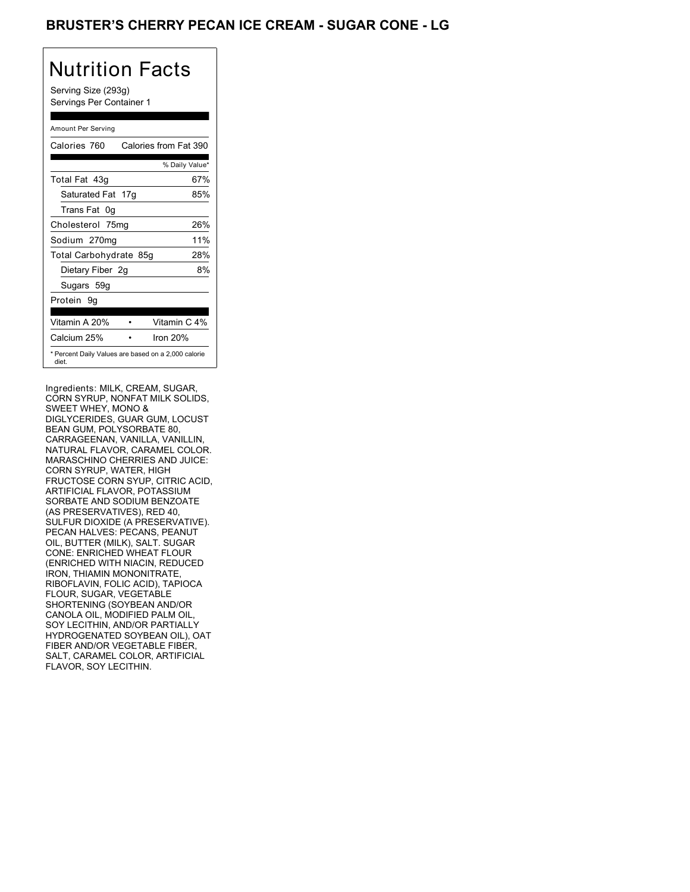## **BRUSTER'S CHERRY PECAN ICE CREAM - SUGAR CONE - LG**

# Nutrition Facts

Serving Size (293g) Servings Per Container 1

### Amount Per Serving

| Calories 760                                                 | Calories from Fat 390 |
|--------------------------------------------------------------|-----------------------|
|                                                              | % Daily Value*        |
| Total Fat 43g                                                | 67%                   |
| Saturated Fat 17g                                            | 85%                   |
| Trans Fat<br>0q                                              |                       |
| Cholesterol 75mg                                             | 26%                   |
| Sodium 270mg                                                 | 11%                   |
| Total Carbohydrate 85g                                       | 28%                   |
| Dietary Fiber 2g                                             | 8%                    |
| Sugars 59g                                                   |                       |
| Protein 9q                                                   |                       |
| Vitamin A 20%                                                | Vitamin C 4%          |
| Calcium 25%                                                  | Iron $20%$            |
| * Percent Daily Values are based on a 2,000 calorie<br>diet. |                       |

Ingredients: MILK, CREAM, SUGAR, CORN SYRUP, NONFAT MILK SOLIDS, CORN SYRUP, NONFAT MILK SOLIDS,<br>SWEET WHEY, MONO & DIGLYCERIDES, GUAR GUM, LOCUST DIGLYCERIDES, GUAR GUM, LOCUST<br>BEAN GUM, POLYSORBATE 80, 80, CARRAGEENAN, VANILLA, CARRAGEENAN, VANILLA, VANILLIN, NATURAL FLAVOR, CARAMEL COLOR. MARASCHINO CHERRIES AND JUICE: MARASCHINO CHERRIES AND JUICE:<br>CORN SYRUP, WATER, HIGH FRUCTOSE CORN SYUP, CITRIC ACID, ARTIFICIAL FLAVOR, POTASSIUM SORBATE AND SODIUM BENZOATE (AS PRESERVATIVES), RED 40, SULFUR DIOXIDE (A PRESERVATIVE). PECAN HALVES: PECANS, PEANUT OIL, BUTTER (MILK), SALT. SUGAR CONE: ENRICHED WHEAT FLOUR (ENRICHED WITH NIACIN, REDUCED IRON, THIAMIN MONONITRATE, RIBOFLAVIN, FOLIC ACID), TAPIOCA FLOUR, SUGAR, VEGETABLE SHORTENING (SOYBEAN AND/OR CANOLA OIL, MODIFIED PALM OIL, SOY LECITHIN, AND/OR PARTIALLY HYDROGENATED SOYBEAN OIL), OAT FIBER AND/OR VEGETABLE FIBER, SALT, CARAMEL COLOR, ARTIFICIAL FLAVOR, SOY LECITHIN.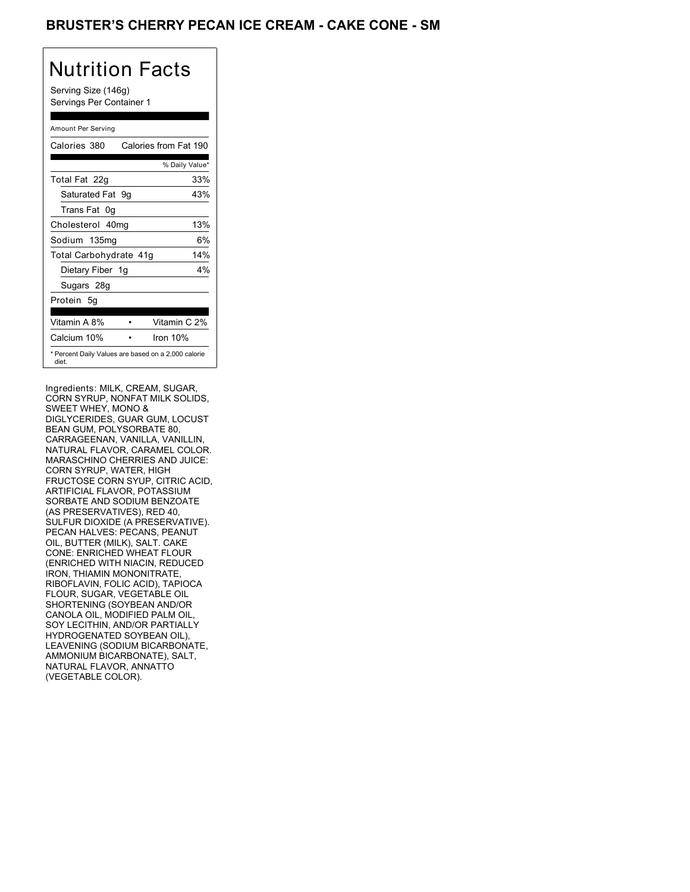## BRUSTER'S CHERRY PECAN ICE CREAM - CAKE CONE - SM

## Nutrition Facts

Serving Size (146g) Servings Per Container 1

### Amount Per Serving

| Calories 380                                                 |  | Calories from Fat 190 |
|--------------------------------------------------------------|--|-----------------------|
|                                                              |  | % Daily Value*        |
| Total Fat 22g                                                |  | 33%                   |
| Saturated Fat 9g                                             |  | 43%                   |
| Trans Fat 0q                                                 |  |                       |
| Cholesterol 40mg                                             |  | 13%                   |
| Sodium 135mg                                                 |  | 6%                    |
| Total Carbohydrate 41g                                       |  | 14%                   |
| Dietary Fiber 1g                                             |  | $4\%$                 |
| Sugars 28g                                                   |  |                       |
| Protein 5g                                                   |  |                       |
| Vitamin A 8%                                                 |  | Vitamin C 2%          |
| Calcium 10%                                                  |  | Iron $10%$            |
| * Percent Daily Values are based on a 2,000 calorie<br>diet. |  |                       |

Ingredients: MILK, CREAM, SUGAR, CORN SYRUP, NONFAT MILK SOLIDS, CORN SYRUP, NONFAT MILK SOLIDS,<br>SWEET WHEY, MONO & DIGLYCERIDES, GUAR GUM, LOCUST DIGLYCERIDES, GUAR GUM, LOCUST<br>BEAN GUM, POLYSORBATE 80, 80, CARRAGEENAN, VANILLA, CARRAGEENAN, VANILLA, VANILLIN, NATURAL FLAVOR, CARAMEL COLOR. MARASCHINO CHERRIES AND JUICE: MARASCHINO CHERRIES AND JUICE:<br>CORN SYRUP, WATER, HIGH FRUCTOSE CORN SYUP, CITRIC ACID, ARTIFICIAL FLAVOR, POTASSIUM SORBATE AND SODIUM BENZOATE (AS PRESERVATIVES), RED 40, SULFUR DIOXIDE (A PRESERVATIVE). PECAN HALVES: PECANS, PEANUT OIL, BUTTER (MILK), SALT. CAKE CONE: ENRICHED WHEAT FLOUR (ENRICHED WITH NIACIN, REDUCED IRON, THIAMIN MONONITRATE, RIBOFLAVIN, FOLIC ACID), TAPIOCA FLOUR, SUGAR, VEGETABLE OIL SHORTENING (SOYBEAN AND/OR CANOLA OIL, MODIFIED PALM OIL, SOY LECITHIN, AND/OR PARTIALLY HYDROGENATED SOYBEAN OIL), LEAVENING (SODIUM BICARBONATE, AMMONIUM BICARBONATE), SALT, NATURAL FLAVOR, ANNATTO (VEGETABLE COLOR).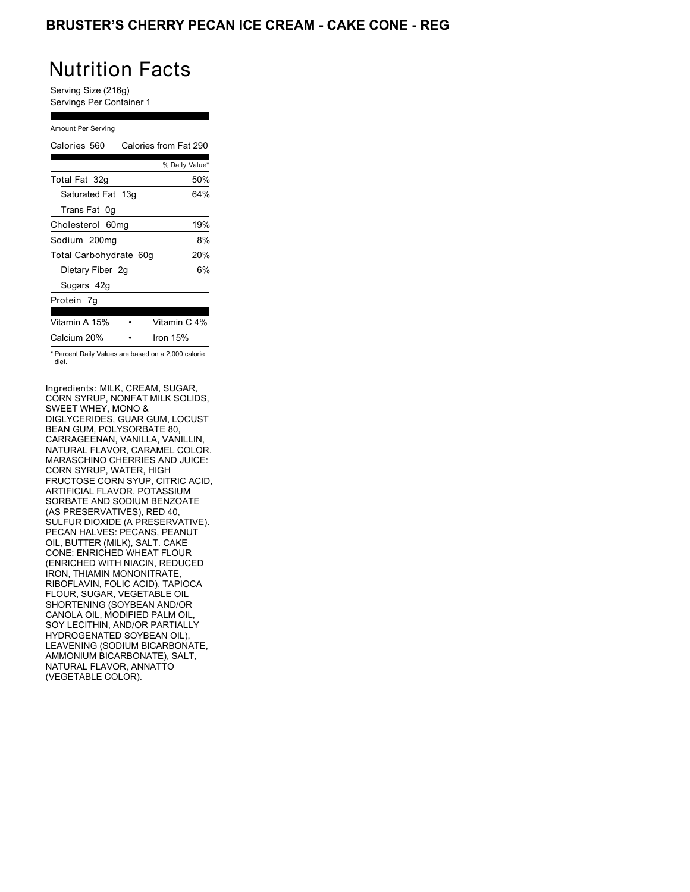## **BRUSTER'S CHERRY PECAN ICE CREAM - CAKE CONE - REG**

# Nutrition Facts

Serving Size (216g) Servings Per Container 1

### Amount Per Serving

| Calories 560                                                 | Calories from Fat 290 |
|--------------------------------------------------------------|-----------------------|
|                                                              | % Daily Value*        |
| Total Fat 32g                                                | 50%                   |
| Saturated Fat 13g                                            | 64%                   |
| Trans Fat<br>0 <sub>q</sub>                                  |                       |
| Cholesterol 60mg                                             | 19%                   |
| Sodium 200mg                                                 | 8%                    |
| <b>Total Carbohydrate</b>                                    | 20%<br>60q            |
| Dietary Fiber 2g                                             | 6%                    |
| Sugars 42g                                                   |                       |
| Protein 7g                                                   |                       |
| Vitamin A 15%                                                | Vitamin C 4%          |
| Calcium 20%                                                  | Iron 15%              |
| * Percent Daily Values are based on a 2,000 calorie<br>diet. |                       |

Ingredients: MILK, CREAM, SUGAR, CORN SYRUP, NONFAT MILK SOLIDS, CORN SYRUP, NONFAT MILK SOLIDS,<br>SWEET WHEY, MONO & DIGLYCERIDES, GUAR GUM, LOCUST DIGLYCERIDES, GUAR GUM, LOCUST<br>BEAN GUM, POLYSORBATE 80, 80, CARRAGEENAN, VANILLA, CARRAGEENAN, VANILLA, VANILLIN, NATURAL FLAVOR, CARAMEL COLOR. MARASCHINO CHERRIES AND JUICE: MARASCHINO CHERRIES AND JUICE:<br>CORN SYRUP, WATER, HIGH FRUCTOSE CORN SYUP, CITRIC ACID, ARTIFICIAL FLAVOR, POTASSIUM SORBATE AND SODIUM BENZOATE (AS PRESERVATIVES), RED 40, SULFUR DIOXIDE (A PRESERVATIVE). PECAN HALVES: PECANS, PEANUT OIL, BUTTER (MILK), SALT. CAKE CONE: ENRICHED WHEAT FLOUR (ENRICHED WITH NIACIN, REDUCED IRON, THIAMIN MONONITRATE, RIBOFLAVIN, FOLIC ACID), TAPIOCA FLOUR, SUGAR, VEGETABLE OIL SHORTENING (SOYBEAN AND/OR CANOLA OIL, MODIFIED PALM OIL, SOY LECITHIN, AND/OR PARTIALLY HYDROGENATED SOYBEAN OIL), LEAVENING (SODIUM BICARBONATE, AMMONIUM BICARBONATE), SALT, NATURAL FLAVOR, ANNATTO (VEGETABLE COLOR).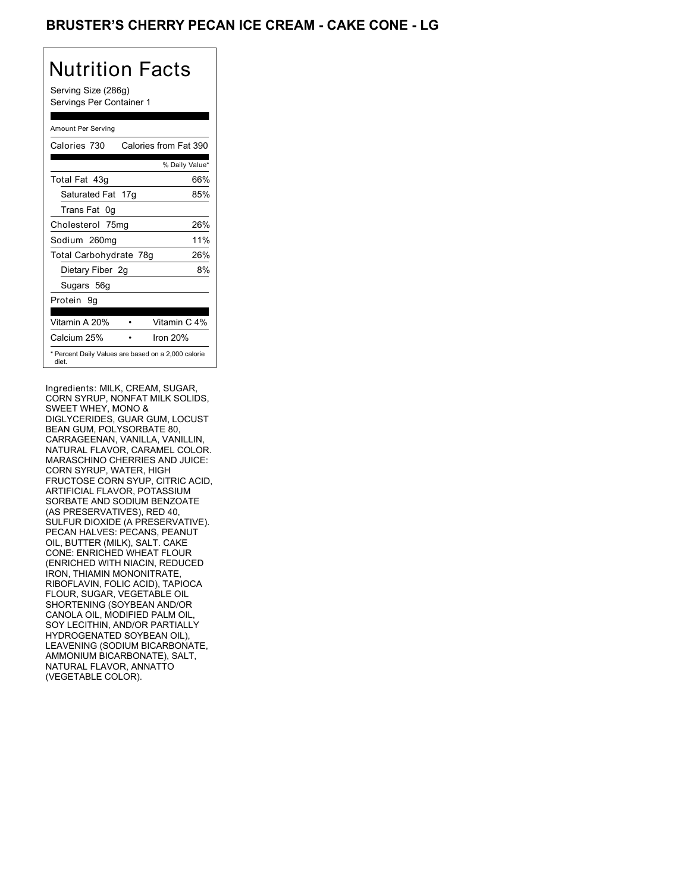## **BRUSTER'S CHERRY PECAN ICE CREAM - CAKE CONE - LG**

# Nutrition Facts

Serving Size (286g) Servings Per Container 1

### Amount Per Serving

| Calories 730                                                 | Calories from Fat 390 |
|--------------------------------------------------------------|-----------------------|
|                                                              | % Daily Value*        |
| Total Fat 43q                                                | 66%                   |
| Saturated Fat 17g                                            | 85%                   |
| Trans Fat<br>0g                                              |                       |
| Cholesterol 75mg                                             | 26%                   |
| Sodium 260mg                                                 | 11%                   |
| Total Carbohydrate 78g                                       | 26%                   |
| Dietary Fiber 2g                                             | 8%                    |
| Sugars 56g                                                   |                       |
| Protein 9q                                                   |                       |
| Vitamin A 20%                                                | Vitamin C 4%          |
| Calcium 25%                                                  | Iron $20%$            |
| * Percent Daily Values are based on a 2,000 calorie<br>diet. |                       |

Ingredients: MILK, CREAM, SUGAR, CORN SYRUP, NONFAT MILK SOLIDS, CORN SYRUP, NONFAT MILK SOLIDS,<br>SWEET WHEY, MONO & DIGLYCERIDES, GUAR GUM, LOCUST DIGLYCERIDES, GUAR GUM, LOCUST<br>BEAN GUM, POLYSORBATE 80, 80, CARRAGEENAN, VANILLA, CARRAGEENAN, VANILLA, VANILLIN, NATURAL FLAVOR, CARAMEL COLOR. MARASCHINO CHERRIES AND JUICE: MARASCHINO CHERRIES AND JUICE:<br>CORN SYRUP, WATER, HIGH FRUCTOSE CORN SYUP, CITRIC ACID, ARTIFICIAL FLAVOR, POTASSIUM SORBATE AND SODIUM BENZOATE (AS PRESERVATIVES), RED 40, SULFUR DIOXIDE (A PRESERVATIVE). PECAN HALVES: PECANS, PEANUT OIL, BUTTER (MILK), SALT. CAKE CONE: ENRICHED WHEAT FLOUR (ENRICHED WITH NIACIN, REDUCED IRON, THIAMIN MONONITRATE, RIBOFLAVIN, FOLIC ACID), TAPIOCA FLOUR, SUGAR, VEGETABLE OIL SHORTENING (SOYBEAN AND/OR CANOLA OIL, MODIFIED PALM OIL, SOY LECITHIN, AND/OR PARTIALLY HYDROGENATED SOYBEAN OIL), LEAVENING (SODIUM BICARBONATE, AMMONIUM BICARBONATE), SALT, NATURAL FLAVOR, ANNATTO (VEGETABLE COLOR).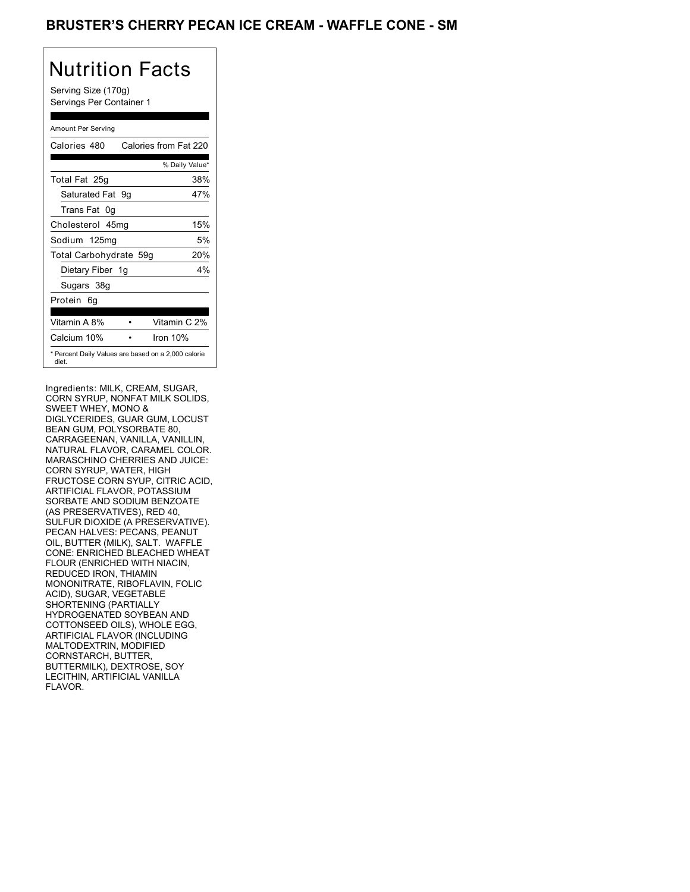## BRUSTER'S CHERRY PECAN ICE CREAM - WAFFLE CONE - SM

# Nutrition Facts

Serving Size (170g) Servings Per Container 1

### Amount Per Serving

| Calories 480           | Calories from Fat 220                               |
|------------------------|-----------------------------------------------------|
|                        | % Daily Value*                                      |
| Total Fat 25g          | 38%                                                 |
| Saturated Fat 9g       | 47%                                                 |
| Trans Fat 0q           |                                                     |
| Cholesterol 45mg       | 15%                                                 |
| Sodium 125mg           | 5%                                                  |
| Total Carbohydrate 59g | 20%                                                 |
| Dietary Fiber 1g       | 4%                                                  |
| Sugars 38g             |                                                     |
| Protein 6q             |                                                     |
| Vitamin A 8%           | Vitamin C 2%                                        |
| Calcium 10%            | Iron 10%                                            |
| diet.                  | * Percent Daily Values are based on a 2,000 calorie |

Ingredients: MILK, CREAM, SUGAR, CORN SYRUP, NONFAT MILK SOLIDS, CORN SYRUP, NONFAT MILK SOLIDS,<br>SWEET WHEY, MONO & DIGLYCERIDES, GUAR GUM, LOCUST DIGLYCERIDES, GUAR GUM, LOCUST<br>BEAN GUM, POLYSORBATE 80, 80, CARRAGEENAN, VANILLA, CARRAGEENAN, VANILLA, VANILLIN, NATURAL FLAVOR, CARAMEL COLOR. MARASCHINO CHERRIES AND JUICE: MARASCHINO CHERRIES AND JUICE:<br>CORN SYRUP, WATER, HIGH FRUCTOSE CORN SYUP, CITRIC ACID, ARTIFICIAL FLAVOR, POTASSIUM SORBATE AND SODIUM BENZOATE (AS PRESERVATIVES), RED 40, SULFUR DIOXIDE (A PRESERVATIVE). PECAN HALVES: PECANS, PEANUT OIL, BUTTER (MILK), SALT. WAFFLE CONE: ENRICHED BLEACHED WHEAT FLOUR (ENRICHED WITH NIACIN, REDUCED IRON, THIAMIN MONONITRATE, RIBOFLAVIN, FOLIC ACID), SUGAR, VEGETABLE SHORTENING (PARTIALLY HYDROGENATED SOYBEAN AND COTTONSEED OILS), WHOLE EGG, ARTIFICIAL FLAVOR (INCLUDING MALTODEXTRIN, MODIFIED CORNSTARCH, BUTTER, BUTTERMILK), DEXTROSE, SOY LECITHIN, ARTIFICIAL VANILLA FLAVOR.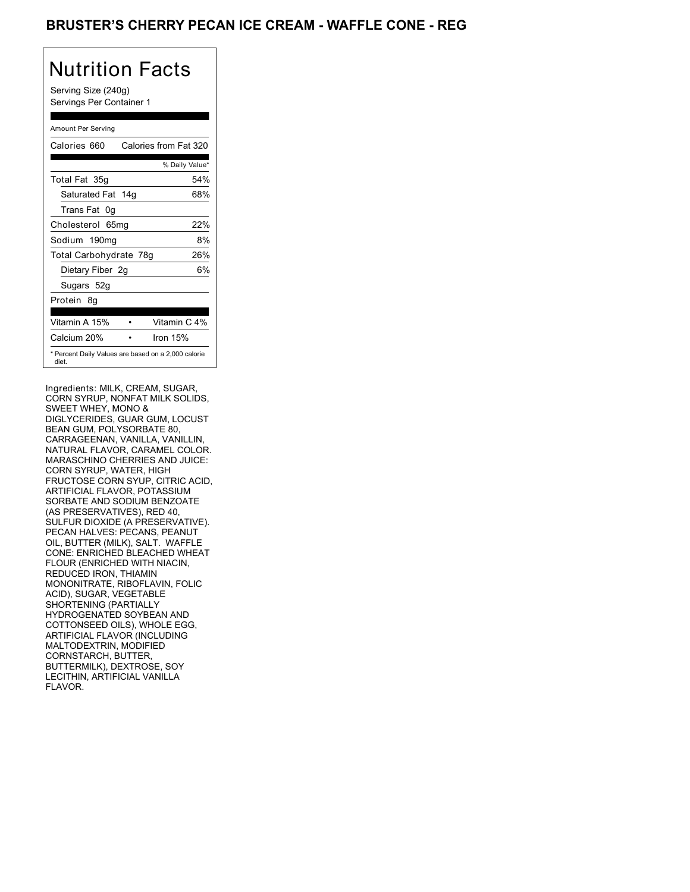## BRUSTER'S CHERRY PECAN ICE CREAM - WAFFLE CONE - REG

# Nutrition Facts

Serving Size (240g) Servings Per Container 1

### Amount Per Serving

| Calories 660                                                 | Calories from Fat 320 |
|--------------------------------------------------------------|-----------------------|
|                                                              | % Daily Value*        |
| Total Fat 35g                                                | 54%                   |
| Saturated Fat 14g                                            | 68%                   |
| Trans Fat<br>0g                                              |                       |
| Cholesterol 65mg                                             | 22%                   |
| Sodium 190mg                                                 | 8%                    |
| Total Carbohydrate 78g                                       | 26%                   |
| Dietary Fiber 2g                                             | 6%                    |
| Sugars 52g                                                   |                       |
| Protein 8q                                                   |                       |
| Vitamin A 15%                                                | Vitamin C 4%          |
| Calcium 20%                                                  | Iron $15%$            |
| * Percent Daily Values are based on a 2,000 calorie<br>diet. |                       |

Ingredients: MILK, CREAM, SUGAR, CORN SYRUP, NONFAT MILK SOLIDS, CORN SYRUP, NONFAT MILK SOLIDS,<br>SWEET WHEY, MONO & DIGLYCERIDES, GUAR GUM, LOCUST DIGLYCERIDES, GUAR GUM, LOCUST<br>BEAN GUM, POLYSORBATE 80, 80, CARRAGEENAN, VANILLA, CARRAGEENAN, VANILLA, VANILLIN, NATURAL FLAVOR, CARAMEL COLOR. MARASCHINO CHERRIES AND JUICE: MARASCHINO CHERRIES AND JUICE:<br>CORN SYRUP, WATER, HIGH FRUCTOSE CORN SYUP, CITRIC ACID, ARTIFICIAL FLAVOR, POTASSIUM SORBATE AND SODIUM BENZOATE (AS PRESERVATIVES), RED 40, SULFUR DIOXIDE (A PRESERVATIVE). PECAN HALVES: PECANS, PEANUT OIL, BUTTER (MILK), SALT. WAFFLE CONE: ENRICHED BLEACHED WHEAT FLOUR (ENRICHED WITH NIACIN, REDUCED IRON, THIAMIN MONONITRATE, RIBOFLAVIN, FOLIC ACID), SUGAR, VEGETABLE SHORTENING (PARTIALLY HYDROGENATED SOYBEAN AND COTTONSEED OILS), WHOLE EGG, ARTIFICIAL FLAVOR (INCLUDING MALTODEXTRIN, MODIFIED CORNSTARCH, BUTTER, BUTTERMILK), DEXTROSE, SOY LECITHIN, ARTIFICIAL VANILLA FLAVOR.